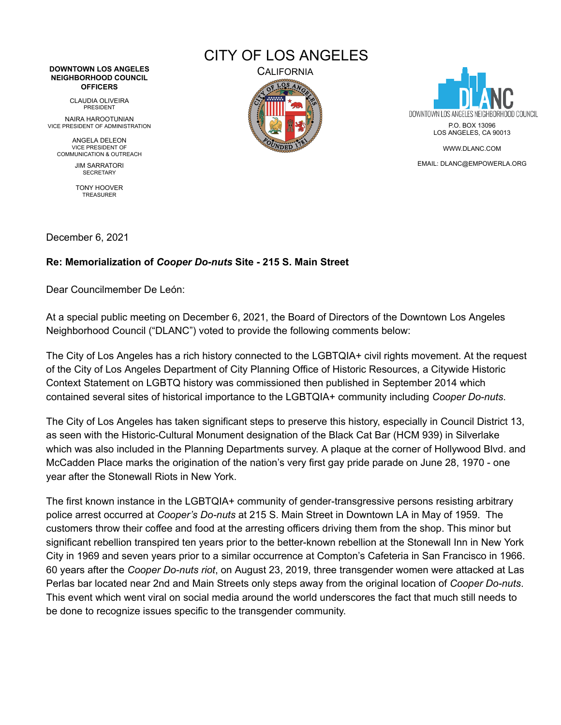## **DOWNTOWN LOS ANGELES NEIGHBORHOOD COUNCIL OFFICERS**

CLAUDIA OLIVEIRA PRESIDENT

NAIRA HAROOTUNIAN VICE PRESIDENT OF ADMINISTRATION

ANGELA DELEON VICE PRESIDENT OF COMMUNICATION & OUTREACH

JIM SARRATORI SECRETARY

TONY HOOVER TREASURER

CITY OF LOS ANGELES





WWW.DLANC.COM

EMAIL: DLANC@EMPOWERLA.ORG

December 6, 2021

## **Re: Memorialization of** *Cooper Do-nuts* **Site - 215 S. Main Street**

Dear Councilmember De León:

At a special public meeting on December 6, 2021, the Board of Directors of the Downtown Los Angeles Neighborhood Council ("DLANC") voted to provide the following comments below:

The City of Los Angeles has a rich history connected to the LGBTQIA+ civil rights movement. At the request of the City of Los Angeles Department of City Planning Office of Historic Resources, a Citywide Historic Context Statement on LGBTQ history was commissioned then published in September 2014 which contained several sites of historical importance to the LGBTQIA+ community including *Cooper Do-nuts*.

The City of Los Angeles has taken significant steps to preserve this history, especially in Council District 13, as seen with the Historic-Cultural Monument designation of the Black Cat Bar (HCM 939) in Silverlake which was also included in the Planning Departments survey. A plaque at the corner of Hollywood Blvd. and McCadden Place marks the origination of the nation's very first gay pride parade on June 28, 1970 - one year after the Stonewall Riots in New York.

The first known instance in the LGBTQIA+ community of gender-transgressive persons resisting arbitrary police arrest occurred at *Cooper's Do-nuts* at 215 S. Main Street in Downtown LA in May of 1959. The customers throw their coffee and food at the arresting officers driving them from the shop. This minor but significant rebellion transpired ten years prior to the better-known rebellion at the Stonewall Inn in New York City in 1969 and seven years prior to a similar occurrence at Compton's Cafeteria in San Francisco in 1966. 60 years after the *Cooper Do-nuts riot*, on August 23, 2019, three transgender women were attacked at Las Perlas bar located near 2nd and Main Streets only steps away from the original location of *Cooper Do-nuts*. This event which went viral on social media around the world underscores the fact that much still needs to be done to recognize issues specific to the transgender community.